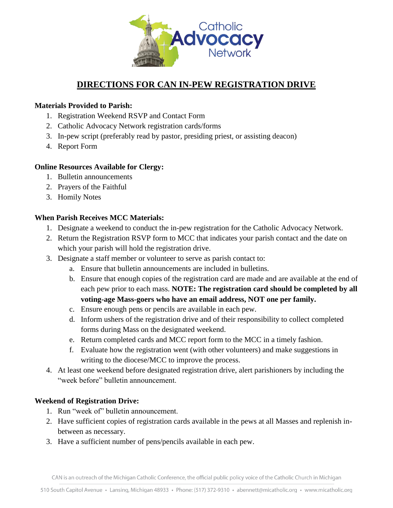

# **DIRECTIONS FOR CAN IN-PEW REGISTRATION DRIVE**

### **Materials Provided to Parish:**

- 1. Registration Weekend RSVP and Contact Form
- 2. Catholic Advocacy Network registration cards/forms
- 3. In-pew script (preferably read by pastor, presiding priest, or assisting deacon)
- 4. Report Form

#### **Online Resources Available for Clergy:**

- 1. Bulletin announcements
- 2. Prayers of the Faithful
- 3. Homily Notes

#### **When Parish Receives MCC Materials:**

- 1. Designate a weekend to conduct the in-pew registration for the Catholic Advocacy Network.
- 2. Return the Registration RSVP form to MCC that indicates your parish contact and the date on which your parish will hold the registration drive.
- 3. Designate a staff member or volunteer to serve as parish contact to:
	- a. Ensure that bulletin announcements are included in bulletins.
	- b. Ensure that enough copies of the registration card are made and are available at the end of each pew prior to each mass. **NOTE: The registration card should be completed by all voting-age Mass-goers who have an email address, NOT one per family.**
	- c. Ensure enough pens or pencils are available in each pew.
	- d. Inform ushers of the registration drive and of their responsibility to collect completed forms during Mass on the designated weekend.
	- e. Return completed cards and MCC report form to the MCC in a timely fashion.
	- f. Evaluate how the registration went (with other volunteers) and make suggestions in writing to the diocese/MCC to improve the process.
- 4. At least one weekend before designated registration drive, alert parishioners by including the "week before" bulletin announcement.

#### **Weekend of Registration Drive:**

- 1. Run "week of" bulletin announcement.
- 2. Have sufficient copies of registration cards available in the pews at all Masses and replenish inbetween as necessary.
- 3. Have a sufficient number of pens/pencils available in each pew.

CAN is an outreach of the Michigan Catholic Conference, the official public policy voice of the Catholic Church in Michigan